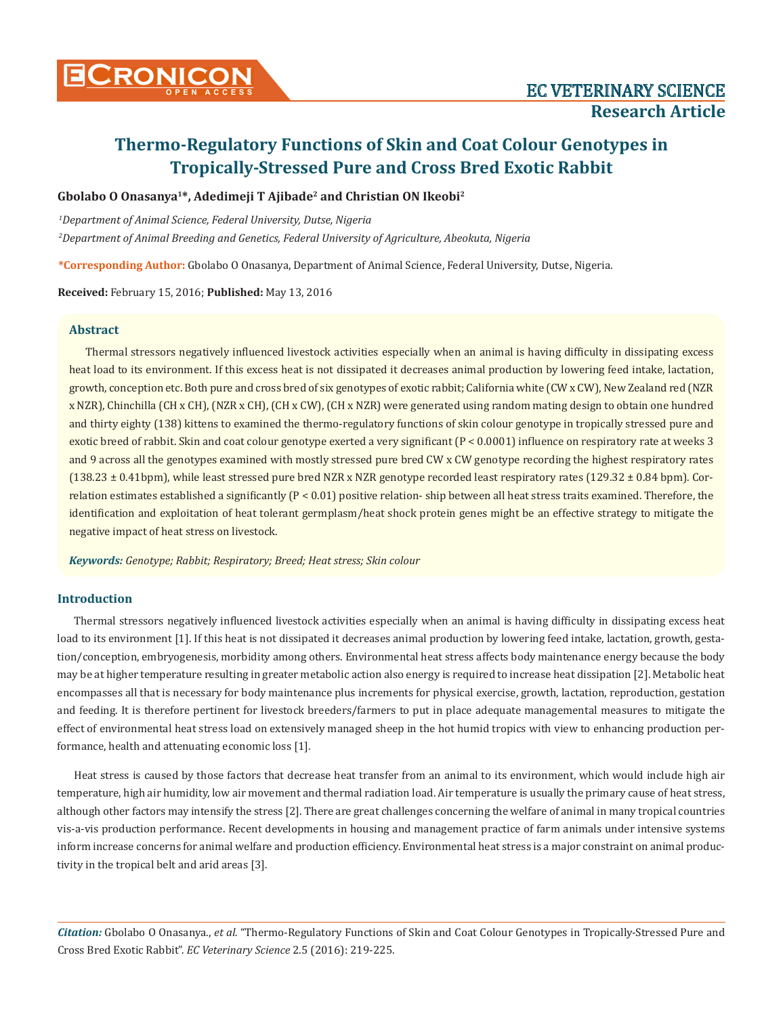# **Gbolabo O Onasanya1\*, Adedimeji T Ajibade2 and Christian ON Ikeobi2**

*1 Department of Animal Science, Federal University, Dutse, Nigeria 2 Department of Animal Breeding and Genetics, Federal University of Agriculture, Abeokuta, Nigeria*

**\*Corresponding Author:** Gbolabo O Onasanya, Department of Animal Science, Federal University, Dutse, Nigeria.

**Received:** February 15, 2016; **Published:** May 13, 2016

# **Abstract**

Thermal stressors negatively influenced livestock activities especially when an animal is having difficulty in dissipating excess heat load to its environment. If this excess heat is not dissipated it decreases animal production by lowering feed intake, lactation, growth, conception etc. Both pure and cross bred of six genotypes of exotic rabbit; California white (CW x CW), New Zealand red (NZR x NZR), Chinchilla (CH x CH), (NZR x CH), (CH x CW), (CH x NZR) were generated using random mating design to obtain one hundred and thirty eighty (138) kittens to examined the thermo-regulatory functions of skin colour genotype in tropically stressed pure and exotic breed of rabbit. Skin and coat colour genotype exerted a very significant (P < 0.0001) influence on respiratory rate at weeks 3 and 9 across all the genotypes examined with mostly stressed pure bred CW x CW genotype recording the highest respiratory rates  $(138.23 \pm 0.41$ bpm), while least stressed pure bred NZR x NZR genotype recorded least respiratory rates  $(129.32 \pm 0.84$  bpm). Correlation estimates established a significantly  $(P < 0.01)$  positive relation-ship between all heat stress traits examined. Therefore, the identification and exploitation of heat tolerant germplasm/heat shock protein genes might be an effective strategy to mitigate the negative impact of heat stress on livestock.

*Keywords: Genotype; Rabbit; Respiratory; Breed; Heat stress; Skin colour*

# **Introduction**

Thermal stressors negatively influenced livestock activities especially when an animal is having difficulty in dissipating excess heat load to its environment [1]. If this heat is not dissipated it decreases animal production by lowering feed intake, lactation, growth, gestation/conception, embryogenesis, morbidity among others. Environmental heat stress affects body maintenance energy because the body may be at higher temperature resulting in greater metabolic action also energy is required to increase heat dissipation [2]. Metabolic heat encompasses all that is necessary for body maintenance plus increments for physical exercise, growth, lactation, reproduction, gestation and feeding. It is therefore pertinent for livestock breeders/farmers to put in place adequate managemental measures to mitigate the effect of environmental heat stress load on extensively managed sheep in the hot humid tropics with view to enhancing production performance, health and attenuating economic loss [1].

Heat stress is caused by those factors that decrease heat transfer from an animal to its environment, which would include high air temperature, high air humidity, low air movement and thermal radiation load. Air temperature is usually the primary cause of heat stress, although other factors may intensify the stress [2]. There are great challenges concerning the welfare of animal in many tropical countries vis-a-vis production performance. Recent developments in housing and management practice of farm animals under intensive systems inform increase concerns for animal welfare and production efficiency. Environmental heat stress is a major constraint on animal productivity in the tropical belt and arid areas [3].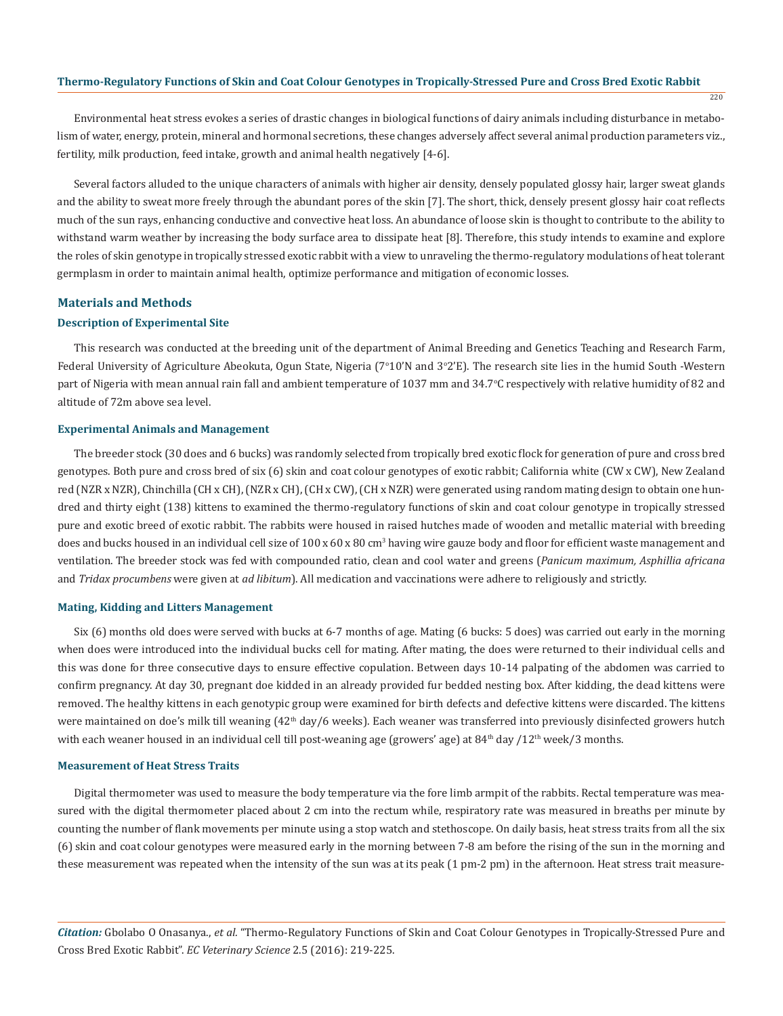Environmental heat stress evokes a series of drastic changes in biological functions of dairy animals including disturbance in metabolism of water, energy, protein, mineral and hormonal secretions, these changes adversely affect several animal production parameters viz., fertility, milk production, feed intake, growth and animal health negatively [4-6].

220

Several factors alluded to the unique characters of animals with higher air density, densely populated glossy hair, larger sweat glands and the ability to sweat more freely through the abundant pores of the skin [7]. The short, thick, densely present glossy hair coat reflects much of the sun rays, enhancing conductive and convective heat loss. An abundance of loose skin is thought to contribute to the ability to withstand warm weather by increasing the body surface area to dissipate heat [8]. Therefore, this study intends to examine and explore the roles of skin genotype in tropically stressed exotic rabbit with a view to unraveling the thermo-regulatory modulations of heat tolerant germplasm in order to maintain animal health, optimize performance and mitigation of economic losses.

#### **Materials and Methods**

### **Description of Experimental Site**

This research was conducted at the breeding unit of the department of Animal Breeding and Genetics Teaching and Research Farm, Federal University of Agriculture Abeokuta, Ogun State, Nigeria (7°10'N and 3°2'E). The research site lies in the humid South -Western part of Nigeria with mean annual rain fall and ambient temperature of 1037 mm and 34.7°C respectively with relative humidity of 82 and altitude of 72m above sea level.

#### **Experimental Animals and Management**

The breeder stock (30 does and 6 bucks) was randomly selected from tropically bred exotic flock for generation of pure and cross bred genotypes. Both pure and cross bred of six (6) skin and coat colour genotypes of exotic rabbit; California white (CW x CW), New Zealand red (NZR x NZR), Chinchilla (CH x CH), (NZR x CH), (CH x CW), (CH x NZR) were generated using random mating design to obtain one hundred and thirty eight (138) kittens to examined the thermo-regulatory functions of skin and coat colour genotype in tropically stressed pure and exotic breed of exotic rabbit. The rabbits were housed in raised hutches made of wooden and metallic material with breeding does and bucks housed in an individual cell size of 100 x 60 x 80 cm<sup>3</sup> having wire gauze body and floor for efficient waste management and ventilation. The breeder stock was fed with compounded ratio, clean and cool water and greens (*Panicum maximum, Asphillia africana*  and *Tridax procumbens* were given at *ad libitum*). All medication and vaccinations were adhere to religiously and strictly.

### **Mating, Kidding and Litters Management**

Six (6) months old does were served with bucks at 6-7 months of age. Mating (6 bucks: 5 does) was carried out early in the morning when does were introduced into the individual bucks cell for mating. After mating, the does were returned to their individual cells and this was done for three consecutive days to ensure effective copulation. Between days 10-14 palpating of the abdomen was carried to confirm pregnancy. At day 30, pregnant doe kidded in an already provided fur bedded nesting box. After kidding, the dead kittens were removed. The healthy kittens in each genotypic group were examined for birth defects and defective kittens were discarded. The kittens were maintained on doe's milk till weaning (42<sup>th</sup> day/6 weeks). Each weaner was transferred into previously disinfected growers hutch with each weaner housed in an individual cell till post-weaning age (growers' age) at  $84<sup>th</sup>$  day /12<sup>th</sup> week/3 months.

#### **Measurement of Heat Stress Traits**

Digital thermometer was used to measure the body temperature via the fore limb armpit of the rabbits. Rectal temperature was measured with the digital thermometer placed about 2 cm into the rectum while, respiratory rate was measured in breaths per minute by counting the number of flank movements per minute using a stop watch and stethoscope. On daily basis, heat stress traits from all the six (6) skin and coat colour genotypes were measured early in the morning between 7-8 am before the rising of the sun in the morning and these measurement was repeated when the intensity of the sun was at its peak (1 pm-2 pm) in the afternoon. Heat stress trait measure-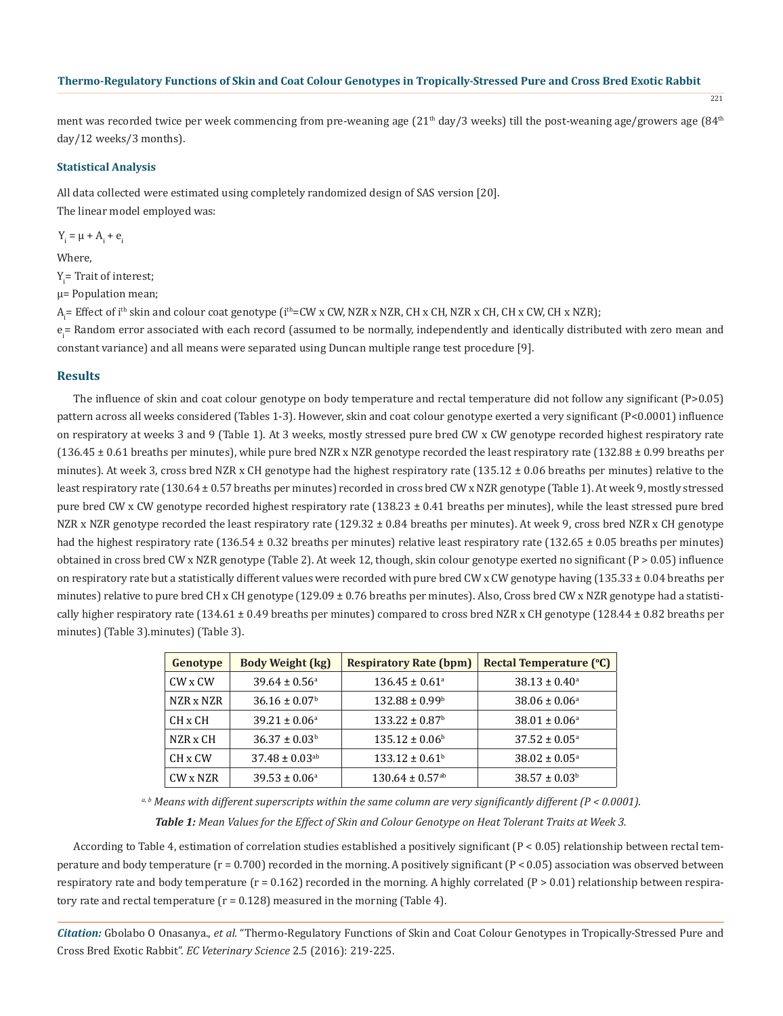221

ment was recorded twice per week commencing from pre-weaning age  $(21<sup>th</sup> day/3$  weeks) till the post-weaning age/growers age  $(84<sup>th</sup>$ day/12 weeks/3 months).

#### **Statistical Analysis**

All data collected were estimated using completely randomized design of SAS version [20]. The linear model employed was:

 $Y_i = \mu + A_i + e_i$ 

Where,

Y<sub>i</sub>= Trait of interest;

µ= Population mean;

A<sub>i</sub>= Effect of i<sup>th</sup> skin and colour coat genotype (i<sup>th</sup>=CW x CW, NZR x NZR, CH x CH, NZR x CH, CH x CW, CH x NZR);

e<sub>i</sub>= Random error associated with each record (assumed to be normally, independently and identically distributed with zero mean and constant variance) and all means were separated using Duncan multiple range test procedure [9].

#### **Results**

The influence of skin and coat colour genotype on body temperature and rectal temperature did not follow any significant (P>0.05) pattern across all weeks considered (Tables 1-3). However, skin and coat colour genotype exerted a very significant (P<0.0001) influence on respiratory at weeks 3 and 9 (Table 1). At 3 weeks, mostly stressed pure bred CW x CW genotype recorded highest respiratory rate  $(136.45 \pm 0.61$  breaths per minutes), while pure bred NZR x NZR genotype recorded the least respiratory rate  $(132.88 \pm 0.99$  breaths per minutes). At week 3, cross bred NZR x CH genotype had the highest respiratory rate  $(135.12 \pm 0.06$  breaths per minutes) relative to the least respiratory rate (130.64 ± 0.57 breaths per minutes) recorded in cross bred CW x NZR genotype (Table 1). At week 9, mostly stressed pure bred CW x CW genotype recorded highest respiratory rate (138.23 ± 0.41 breaths per minutes), while the least stressed pure bred NZR x NZR genotype recorded the least respiratory rate (129.32 ± 0.84 breaths per minutes). At week 9, cross bred NZR x CH genotype had the highest respiratory rate (136.54 ± 0.32 breaths per minutes) relative least respiratory rate (132.65 ± 0.05 breaths per minutes) obtained in cross bred CW x NZR genotype (Table 2). At week 12, though, skin colour genotype exerted no significant (P > 0.05) influence on respiratory rate but a statistically different values were recorded with pure bred CW x CW genotype having  $(135.33 \pm 0.04$  breaths per minutes) relative to pure bred CH x CH genotype (129.09 ± 0.76 breaths per minutes). Also, Cross bred CW x NZR genotype had a statistically higher respiratory rate  $(134.61 \pm 0.49$  breaths per minutes) compared to cross bred NZR x CH genotype  $(128.44 \pm 0.82$  breaths per minutes) (Table 3).minutes) (Table 3).

| Genotype           | <b>Body Weight (kg)</b>        | <b>Respiratory Rate (bpm)</b>   | <b>Rectal Temperature (°C)</b> |
|--------------------|--------------------------------|---------------------------------|--------------------------------|
| CW x CW            | $39.64 \pm 0.56^{\circ}$       | $136.45 \pm 0.61$ <sup>a</sup>  | $38.13 \pm 0.40^{\circ}$       |
| NZR x NZR          | $36.16 \pm 0.07$ <sup>b</sup>  | $132.88 \pm 0.99^{\circ}$       | $38.06 \pm 0.06^{\circ}$       |
| CH x CH            | $39.21 \pm 0.06^{\circ}$       | $133.22 \pm 0.87$ <sup>b</sup>  | $38.01 \pm 0.06^{\circ}$       |
| NZR x CH           | $36.37 \pm 0.03^b$             | $135.12 \pm 0.06^{\circ}$       | $37.52 \pm 0.05^{\circ}$       |
| CH <sub>x</sub> CW | $37.48 \pm 0.03$ <sup>ab</sup> | $133.12 \pm 0.61^b$             | $38.02 \pm 0.05^{\circ}$       |
| CW x NZR           | $39.53 \pm 0.06^{\circ}$       | $130.64 \pm 0.57$ <sup>ab</sup> | $38.57 \pm 0.03^b$             |

 *a, b Means with different superscripts within the same column are very significantly different (P < 0.0001). Table 1: Mean Values for the Effect of Skin and Colour Genotype on Heat Tolerant Traits at Week 3.*

According to Table 4, estimation of correlation studies established a positively significant (P < 0.05) relationship between rectal temperature and body temperature  $(r = 0.700)$  recorded in the morning. A positively significant  $(P < 0.05)$  association was observed between respiratory rate and body temperature  $(r = 0.162)$  recorded in the morning. A highly correlated  $(P > 0.01)$  relationship between respiratory rate and rectal temperature  $(r = 0.128)$  measured in the morning (Table 4).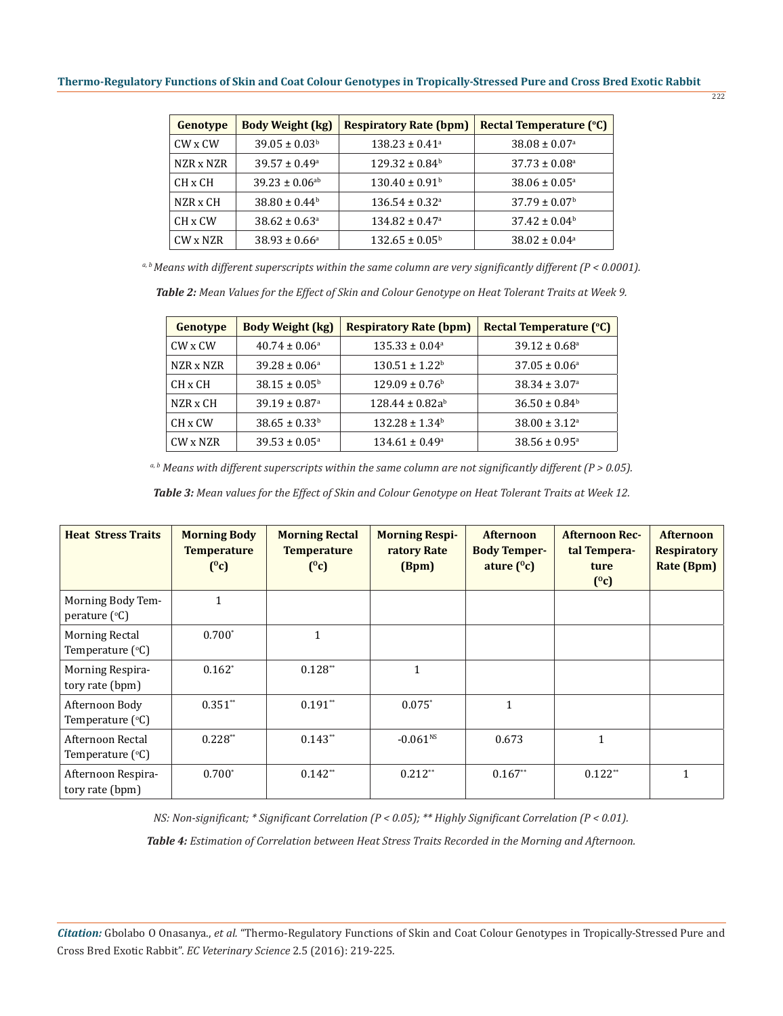222

| Genotype           | <b>Body Weight (kg)</b>        | <b>Respiratory Rate (bpm)</b>  | Rectal Temperature (°C)       |  |
|--------------------|--------------------------------|--------------------------------|-------------------------------|--|
| CW x CW            | $39.05 \pm 0.03^b$             | $138.23 \pm 0.41^a$            | $38.08 \pm 0.07$ <sup>a</sup> |  |
| NZR x NZR          | $39.57 \pm 0.49^{\circ}$       | $129.32 \pm 0.84$ <sup>b</sup> | $37.73 \pm 0.08$ <sup>a</sup> |  |
| CH <sub>x</sub> CH | $39.23 \pm 0.06$ <sup>ab</sup> | $130.40 \pm 0.91$ <sup>b</sup> | $38.06 \pm 0.05^{\circ}$      |  |
| NZR x CH           | $38.80 \pm 0.44^b$             | $136.54 \pm 0.32$ <sup>a</sup> | $37.79 \pm 0.07^{\rm b}$      |  |
| CH <sub>x</sub> CW | $38.62 \pm 0.63$ <sup>a</sup>  | $134.82 \pm 0.47$ <sup>a</sup> | $37.42 \pm 0.04^b$            |  |
| CW x NZR           | $38.93 \pm 0.66^{\circ}$       | $132.65 \pm 0.05^{\circ}$      | $38.02 \pm 0.04$ <sup>a</sup> |  |

*a, b Means with different superscripts within the same column are very significantly different (P < 0.0001).*

*Table 2: Mean Values for the Effect of Skin and Colour Genotype on Heat Tolerant Traits at Week 9.*

| Genotype  | <b>Body Weight (kg)</b>       | <b>Respiratory Rate (bpm)</b>  | <b>Rectal Temperature (°C)</b> |  |
|-----------|-------------------------------|--------------------------------|--------------------------------|--|
| CW x CW   | $40.74 \pm 0.06^{\circ}$      | $135.33 \pm 0.04^{\circ}$      | $39.12 \pm 0.68$ <sup>a</sup>  |  |
| NZR x NZR | $39.28 \pm 0.06^{\circ}$      | $130.51 \pm 1.22^{\rm b}$      | $37.05 \pm 0.06^{\circ}$       |  |
| CH x CH   | $38.15 \pm 0.05^{\circ}$      | $129.09 \pm 0.76$ <sup>b</sup> | $38.34 \pm 3.07^{\circ}$       |  |
| NZR x CH  | $39.19 \pm 0.87$ <sup>a</sup> | $128.44 \pm 0.82a^b$           | $36.50 \pm 0.84^b$             |  |
| CH x CW   | $38.65 \pm 0.33^b$            | $132.28 \pm 1.34$ <sup>b</sup> | $38.00 \pm 3.12$ <sup>a</sup>  |  |
| CW x NZR  | $39.53 \pm 0.05^{\circ}$      | $134.61 \pm 0.49^{\circ}$      | $38.56 \pm 0.95^{\circ}$       |  |

*a, b Means with different superscripts within the same column are not significantly different (P > 0.05).*

*Table 3: Mean values for the Effect of Skin and Colour Genotype on Heat Tolerant Traits at Week 12.*

| <b>Heat Stress Traits</b>                          | <b>Morning Body</b><br><b>Temperature</b><br>$(^0c)$ | <b>Morning Rectal</b><br><b>Temperature</b><br>$(^0c)$ | <b>Morning Respi-</b><br>ratory Rate<br>(Bpm) | <b>Afternoon</b><br><b>Body Temper-</b><br>ature $(^0c)$ | <b>Afternoon Rec-</b><br>tal Tempera-<br>ture<br>$(^0c)$ | <b>Afternoon</b><br><b>Respiratory</b><br>Rate (Bpm) |
|----------------------------------------------------|------------------------------------------------------|--------------------------------------------------------|-----------------------------------------------|----------------------------------------------------------|----------------------------------------------------------|------------------------------------------------------|
| Morning Body Tem-<br>perature $(^{\circ}C)$        | 1                                                    |                                                        |                                               |                                                          |                                                          |                                                      |
| <b>Morning Rectal</b><br>Temperature $(^{\circ}C)$ | $0.700*$                                             | 1                                                      |                                               |                                                          |                                                          |                                                      |
| Morning Respira-<br>tory rate (bpm)                | $0.162*$                                             | $0.128**$                                              | $\mathbf{1}$                                  |                                                          |                                                          |                                                      |
| Afternoon Body<br>Temperature $(^{\circ}C)$        | $0.351**$                                            | $0.191**$                                              | $0.075*$                                      | $\mathbf{1}$                                             |                                                          |                                                      |
| Afternoon Rectal<br>Temperature $(^{\circ}C)$      | $0.228**$                                            | $0.143**$                                              | $-0.061^{NS}$                                 | 0.673                                                    | 1                                                        |                                                      |
| Afternoon Respira-<br>tory rate (bpm)              | $0.700*$                                             | $0.142**$                                              | $0.212**$                                     | $0.167**$                                                | $0.122**$                                                | $\mathbf{1}$                                         |

*NS: Non-significant; \* Significant Correlation (P < 0.05); \*\* Highly Significant Correlation (P < 0.01).*

*Table 4: Estimation of Correlation between Heat Stress Traits Recorded in the Morning and Afternoon.*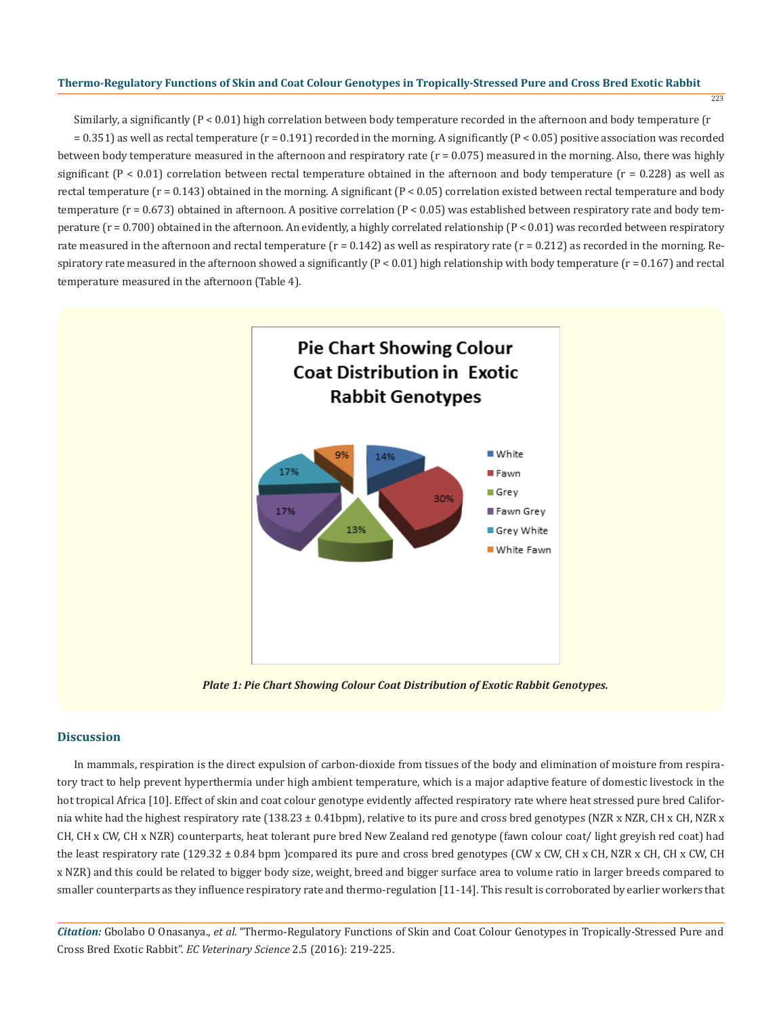223

Similarly, a significantly (P < 0.01) high correlation between body temperature recorded in the afternoon and body temperature (r = 0.351) as well as rectal temperature (r = 0.191) recorded in the morning. A significantly (P < 0.05) positive association was recorded between body temperature measured in the afternoon and respiratory rate  $(r = 0.075)$  measured in the morning. Also, there was highly significant  $(P < 0.01)$  correlation between rectal temperature obtained in the afternoon and body temperature  $(r = 0.228)$  as well as rectal temperature ( $r = 0.143$ ) obtained in the morning. A significant ( $P < 0.05$ ) correlation existed between rectal temperature and body temperature ( $r = 0.673$ ) obtained in afternoon. A positive correlation ( $P < 0.05$ ) was established between respiratory rate and body temperature ( $r = 0.700$ ) obtained in the afternoon. An evidently, a highly correlated relationship ( $P < 0.01$ ) was recorded between respiratory rate measured in the afternoon and rectal temperature  $(r = 0.142)$  as well as respiratory rate  $(r = 0.212)$  as recorded in the morning. Respiratory rate measured in the afternoon showed a significantly  $(P < 0.01)$  high relationship with body temperature  $(r = 0.167)$  and rectal temperature measured in the afternoon (Table 4).



*Plate 1: Pie Chart Showing Colour Coat Distribution of Exotic Rabbit Genotypes.*

# **Discussion**

In mammals, respiration is the direct expulsion of carbon-dioxide from tissues of the body and elimination of moisture from respiratory tract to help prevent hyperthermia under high ambient temperature, which is a major adaptive feature of domestic livestock in the hot tropical Africa [10]. Effect of skin and coat colour genotype evidently affected respiratory rate where heat stressed pure bred California white had the highest respiratory rate (138.23 ± 0.41bpm), relative to its pure and cross bred genotypes (NZR x NZR, CH x CH, NZR x CH, CH x CW, CH x NZR) counterparts, heat tolerant pure bred New Zealand red genotype (fawn colour coat/ light greyish red coat) had the least respiratory rate (129.32 ± 0.84 bpm )compared its pure and cross bred genotypes (CW x CW, CH x CH, NZR x CH, CH x CW, CH x NZR) and this could be related to bigger body size, weight, breed and bigger surface area to volume ratio in larger breeds compared to smaller counterparts as they influence respiratory rate and thermo-regulation [11-14]. This result is corroborated by earlier workers that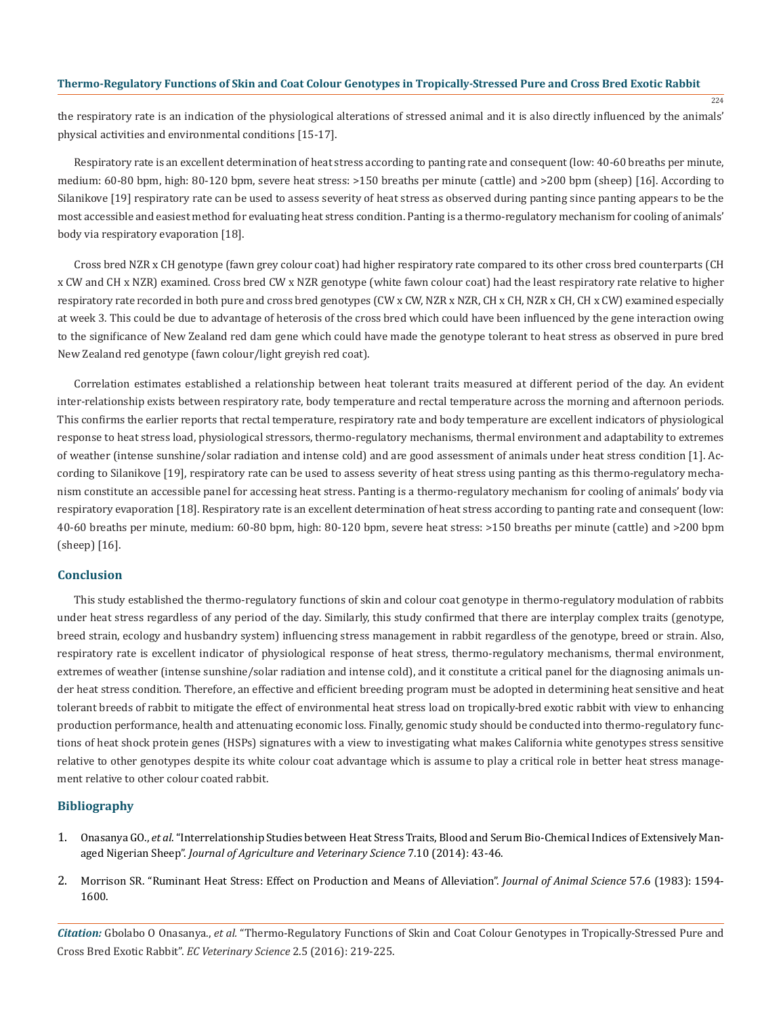the respiratory rate is an indication of the physiological alterations of stressed animal and it is also directly influenced by the animals' physical activities and environmental conditions [15-17].

224

Respiratory rate is an excellent determination of heat stress according to panting rate and consequent (low: 40-60 breaths per minute, medium: 60-80 bpm, high: 80-120 bpm, severe heat stress: >150 breaths per minute (cattle) and >200 bpm (sheep) [16]. According to Silanikove [19] respiratory rate can be used to assess severity of heat stress as observed during panting since panting appears to be the most accessible and easiest method for evaluating heat stress condition. Panting is a thermo-regulatory mechanism for cooling of animals' body via respiratory evaporation [18].

Cross bred NZR x CH genotype (fawn grey colour coat) had higher respiratory rate compared to its other cross bred counterparts (CH x CW and CH x NZR) examined. Cross bred CW x NZR genotype (white fawn colour coat) had the least respiratory rate relative to higher respiratory rate recorded in both pure and cross bred genotypes (CW x CW, NZR x NZR, CH x CH, NZR x CH, CH x CW) examined especially at week 3. This could be due to advantage of heterosis of the cross bred which could have been influenced by the gene interaction owing to the significance of New Zealand red dam gene which could have made the genotype tolerant to heat stress as observed in pure bred New Zealand red genotype (fawn colour/light greyish red coat).

Correlation estimates established a relationship between heat tolerant traits measured at different period of the day. An evident inter-relationship exists between respiratory rate, body temperature and rectal temperature across the morning and afternoon periods. This confirms the earlier reports that rectal temperature, respiratory rate and body temperature are excellent indicators of physiological response to heat stress load, physiological stressors, thermo-regulatory mechanisms, thermal environment and adaptability to extremes of weather (intense sunshine/solar radiation and intense cold) and are good assessment of animals under heat stress condition [1]. According to Silanikove [19], respiratory rate can be used to assess severity of heat stress using panting as this thermo-regulatory mechanism constitute an accessible panel for accessing heat stress. Panting is a thermo-regulatory mechanism for cooling of animals' body via respiratory evaporation [18]. Respiratory rate is an excellent determination of heat stress according to panting rate and consequent (low: 40-60 breaths per minute, medium: 60-80 bpm, high: 80-120 bpm, severe heat stress: >150 breaths per minute (cattle) and >200 bpm (sheep) [16].

## **Conclusion**

This study established the thermo-regulatory functions of skin and colour coat genotype in thermo-regulatory modulation of rabbits under heat stress regardless of any period of the day. Similarly, this study confirmed that there are interplay complex traits (genotype, breed strain, ecology and husbandry system) influencing stress management in rabbit regardless of the genotype, breed or strain. Also, respiratory rate is excellent indicator of physiological response of heat stress, thermo-regulatory mechanisms, thermal environment, extremes of weather (intense sunshine/solar radiation and intense cold), and it constitute a critical panel for the diagnosing animals under heat stress condition. Therefore, an effective and efficient breeding program must be adopted in determining heat sensitive and heat tolerant breeds of rabbit to mitigate the effect of environmental heat stress load on tropically-bred exotic rabbit with view to enhancing production performance, health and attenuating economic loss. Finally, genomic study should be conducted into thermo-regulatory functions of heat shock protein genes (HSPs) signatures with a view to investigating what makes California white genotypes stress sensitive relative to other genotypes despite its white colour coat advantage which is assume to play a critical role in better heat stress management relative to other colour coated rabbit.

## **Bibliography**

- 1. Onasanya GO., *et al*. "Interrelationship Studies between Heat Stress Traits, Blood and Serum Bio-Chemical Indices of Extensively Managed Nigerian Sheep". *Journal of Agriculture and Veterinary Science* 7.10 (2014): 43-46.
- 2. Morrison SR. "Ruminant Heat Stress: Effect on Production and Means of Alleviation". *Journal of Animal Science* 57.6 (1983): 1594- 1600.